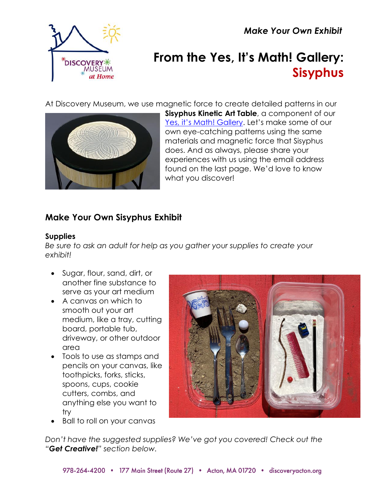*Make Your Own Exhibit*



# **From the Yes, It's Math! Gallery: Sisyphus**

At Discovery Museum, we use magnetic force to create detailed patterns in our



**Sisyphus Kinetic Art Table**, a component of our [Yes, it's Math! Gallery](https://www.discoveryacton.org/exhibit/yes-its-math). Let's make some of our own eye-catching patterns using the same materials and magnetic force that Sisyphus does. And as always, please share your experiences with us using the email address found on the last page. We'd love to know what you discover!

# **Make Your Own Sisyphus Exhibit**

### **Supplies**

*Be sure to ask an adult for help as you gather your supplies to create your exhibit!*

- Sugar, flour, sand, dirt, or another fine substance to serve as your art medium
- A canvas on which to smooth out your art medium, like a tray, cutting board, portable tub, driveway, or other outdoor area
- Tools to use as stamps and pencils on your canvas, like toothpicks, forks, sticks, spoons, cups, cookie cutters, combs, and anything else you want to try
- Ball to roll on your canvas



*Don't have the suggested supplies? We've got you covered! Check out the "Get Creative!" section below.*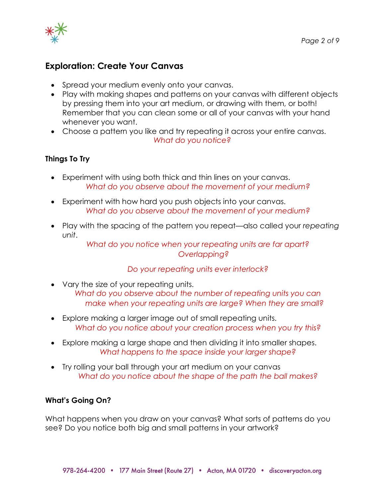

# **Exploration: Create Your Canvas**

- Spread your medium evenly onto your canvas.
- Play with making shapes and patterns on your canvas with different objects by pressing them into your art medium, or drawing with them, or both! Remember that you can clean some or all of your canvas with your hand whenever you want.
- Choose a pattern you like and try repeating it across your entire canvas. *What do you notice?*

#### **Things To Try**

- Experiment with using both thick and thin lines on your canvas. *What do you observe about the movement of your medium?*
- Experiment with how hard you push objects into your canvas. *What do you observe about the movement of your medium?*
- Play with the spacing of the pattern you repeat—also called your *repeating unit*.

*What do you notice when your repeating units are far apart? Overlapping?*

#### *Do your repeating units ever interlock?*

- Vary the size of your repeating units. *What do you observe about the number of repeating units you can make when your repeating units are large? When they are small?*
- Explore making a larger image out of small repeating units. *What do you notice about your creation process when you try this?*
- Explore making a large shape and then dividing it into smaller shapes. *What happens to the space inside your larger shape?*
- Try rolling your ball through your art medium on your canvas *What do you notice about the shape of the path the ball makes?*

#### **What's Going On?**

What happens when you draw on your canvas? What sorts of patterns do you see? Do you notice both big and small patterns in your artwork?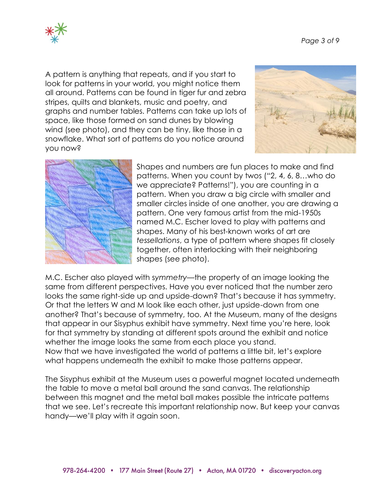

A pattern is anything that repeats, and if you start to look for patterns in your world, you might notice them all around. Patterns can be found in tiger fur and zebra stripes, quilts and blankets, music and poetry, and graphs and number tables. Patterns can take up lots of space, like those formed on sand dunes by blowing wind (see photo), and they can be tiny, like those in a snowflake. What sort of patterns do you notice around you now?





Shapes and numbers are fun places to make and find patterns. When you count by twos ("2, 4, 6, 8…who do we appreciate? Patterns!"), you are counting in a pattern. When you draw a big circle with smaller and smaller circles inside of one another, you are drawing a pattern. One very famous artist from the mid-1950s named M.C. Escher loved to play with patterns and shapes. Many of his best-known works of art are *tessellations*, a type of pattern where shapes fit closely together, often interlocking with their neighboring shapes (see photo).

M.C. Escher also played with s*ymmetry—*the property of an image looking the same from different perspectives. Have you ever noticed that the number zero looks the same right-side up and upside-down? That's because it has symmetry. Or that the letters W and M look like each other, just upside-down from one another? That's because of symmetry, too. At the Museum, many of the designs that appear in our Sisyphus exhibit have symmetry. Next time you're here, look for that symmetry by standing at different spots around the exhibit and notice whether the image looks the same from each place you stand. Now that we have investigated the world of patterns a little bit, let's explore what happens underneath the exhibit to make those patterns appear.

The Sisyphus exhibit at the Museum uses a powerful magnet located underneath the table to move a metal ball around the sand canvas. The relationship between this magnet and the metal ball makes possible the intricate patterns that we see. Let's recreate this important relationship now. But keep your canvas handy—we'll play with it again soon.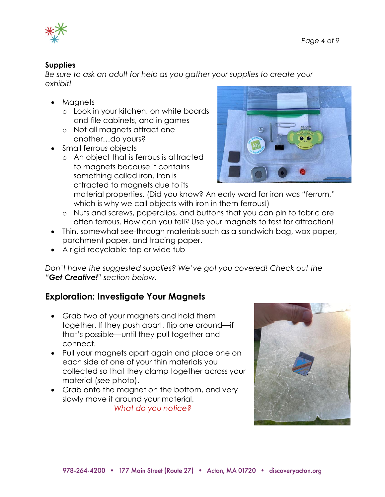

#### **Supplies**

*Be sure to ask an adult for help as you gather your supplies to create your exhibit!*

- Magnets
	- o Look in your kitchen, on white boards and file cabinets, and in games
	- o Not all magnets attract one another…do yours?
- Small ferrou*s* objects
	- o An object that is ferrous is attracted to magnets because it contains something called iron. Iron is attracted to magnets due to its



material properties. (Did you know? An early word for iron was "ferrum," which is why we call objects with iron in them ferrous!)

- o Nuts and screws, paperclips, and buttons that you can pin to fabric are often ferrous. How can you tell? Use your magnets to test for attraction!
- Thin, somewhat see-through materials such as a sandwich bag, wax paper, parchment paper, and tracing paper.
- A rigid recyclable top or wide tub

*Don't have the suggested supplies? We've got you covered! Check out the "Get Creative!" section below.*

# **Exploration: Investigate Your Magnets**

- Grab two of your magnets and hold them together. If they push apart, flip one around—if that's possible—until they pull together and connect.
- Pull your magnets apart again and place one on each side of one of your thin materials you collected so that they clamp together across your material (see photo).
- Grab onto the magnet on the bottom, and very slowly move it around your material. *What do you notice?*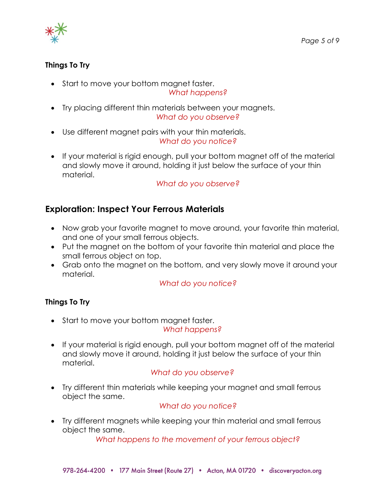

### **Things To Try**

• Start to move your bottom magnet faster.

#### *What happens?*

- Try placing different thin materials between your magnets. *What do you observe?*
- Use different magnet pairs with your thin materials. *What do you notice?*
- If your material is rigid enough, pull your bottom magnet off of the material and slowly move it around, holding it just below the surface of your thin material.

*What do you observe?*

# **Exploration: Inspect Your Ferrous Materials**

- Now grab your favorite magnet to move around, your favorite thin material, and one of your small ferrous objects.
- Put the magnet on the bottom of your favorite thin material and place the small ferrous object on top.
- Grab onto the magnet on the bottom, and very slowly move it around your material.

*What do you notice?*

#### **Things To Try**

- Start to move your bottom magnet faster. *What happens?*
- If your material is rigid enough, pull your bottom magnet off of the material and slowly move it around, holding it just below the surface of your thin material.

# *What do you observe?*

• Try different thin materials while keeping your magnet and small ferrous object the same.

#### *What do you notice?*

• Try different magnets while keeping your thin material and small ferrous object the same.

*What happens to the movement of your ferrous object?*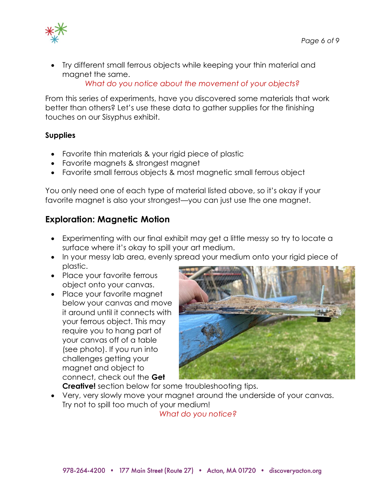

• Try different small ferrous objects while keeping your thin material and magnet the same.

*What do you notice about the movement of your objects?*

From this series of experiments, have you discovered some materials that work better than others? Let's use these data to gather supplies for the finishing touches on our Sisyphus exhibit.

#### **Supplies**

- Favorite thin materials & your rigid piece of plastic
- Favorite magnets & strongest magnet
- Favorite small ferrous objects & most magnetic small ferrous object

You only need one of each type of material listed above, so it's okay if your favorite magnet is also your strongest—you can just use the one magnet.

# **Exploration: Magnetic Motion**

- Experimenting with our final exhibit may get a little messy so try to locate a surface where it's okay to spill your art medium.
- In your messy lab area, evenly spread your medium onto your rigid piece of plastic.
- Place your favorite ferrous object onto your canvas.
- Place your favorite magnet below your canvas and move it around until it connects with your ferrous object. This may require you to hang part of your canvas off of a table (see photo). If you run into challenges getting your magnet and object to connect, check out the **Get**



**Creative!** section below for some troubleshooting tips.

• Very, very slowly move your magnet around the underside of your canvas. Try not to spill too much of your medium!

*What do you notice?*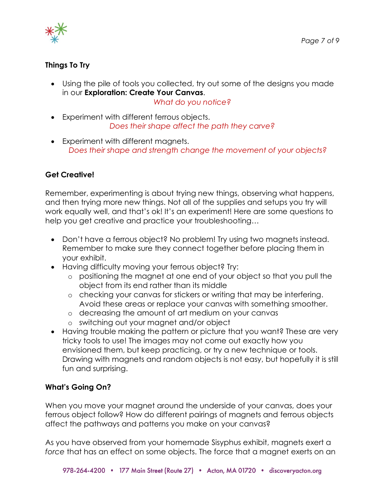



### **Things To Try**

• Using the pile of tools you collected, try out some of the designs you made in our **Exploration: Create Your Canvas**.

*What do you notice?*

- Experiment with different ferrous objects. *Does their shape affect the path they carve?*
- Experiment with different magnets. *Does their shape and strength change the movement of your objects?*

# **Get Creative!**

Remember, experimenting is about trying new things, observing what happens, and then trying more new things. Not all of the supplies and setups you try will work equally well, and that's ok! It's an experiment! Here are some questions to help you get creative and practice your troubleshooting…

- Don't have a ferrous object? No problem! Try using two magnets instead. Remember to make sure they connect together before placing them in your exhibit.
- Having difficulty moving your ferrous object? Try:
	- o positioning the magnet at one end of your object so that you pull the object from its end rather than its middle
	- o checking your canvas for stickers or writing that may be interfering. Avoid these areas or replace your canvas with something smoother.
	- o decreasing the amount of art medium on your canvas
	- o switching out your magnet and/or object
- Having trouble making the pattern or picture that you want? These are very tricky tools to use! The images may not come out exactly how you envisioned them, but keep practicing, or try a new technique or tools. Drawing with magnets and random objects is not easy, but hopefully it is still fun and surprising.

# **What's Going On?**

When you move your magnet around the underside of your canvas, does your ferrous object follow? How do different pairings of magnets and ferrous objects affect the pathways and patterns you make on your canvas?

As you have observed from your homemade Sisyphus exhibit, magnets exert a *force* that has an effect on some objects. The force that a magnet exerts on an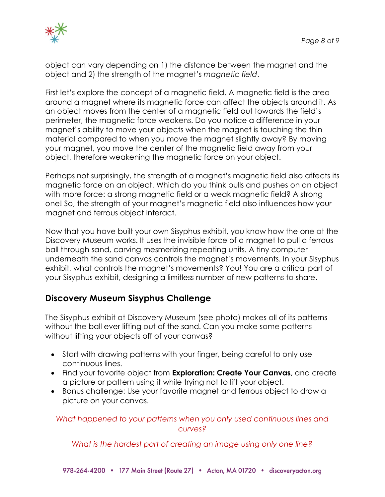

object can vary depending on 1) the distance between the magnet and the object and 2) the strength of the magnet's *magnetic field*.

First let's explore the concept of a magnetic field. A magnetic field is the area around a magnet where its magnetic force can affect the objects around it. As an object moves from the center of a magnetic field out towards the field's perimeter, the magnetic force weakens. Do you notice a difference in your magnet's ability to move your objects when the magnet is touching the thin material compared to when you move the magnet slightly away? By moving your magnet, you move the center of the magnetic field away from your object, therefore weakening the magnetic force on your object.

Perhaps not surprisingly, the strength of a magnet's magnetic field also affects its magnetic force on an object. Which do you think pulls and pushes on an object with more force: a strong magnetic field or a weak magnetic field? A strong one! So, the strength of your magnet's magnetic field also influences how your magnet and ferrous object interact.

Now that you have built your own Sisyphus exhibit, you know how the one at the Discovery Museum works. It uses the invisible force of a magnet to pull a ferrous ball through sand, carving mesmerizing repeating units. A tiny computer underneath the sand canvas controls the magnet's movements. In your Sisyphus exhibit, what controls the magnet's movements? You! You are a critical part of your Sisyphus exhibit, designing a limitless number of new patterns to share.

# **Discovery Museum Sisyphus Challenge**

The Sisyphus exhibit at Discovery Museum (see photo) makes all of its patterns without the ball ever lifting out of the sand. Can you make some patterns without lifting your objects off of your canvas?

- Start with drawing patterns with your finger, being careful to only use continuous lines.
- Find your favorite object from **Exploration: Create Your Canvas**, and create a picture or pattern using it while trying not to lift your object.
- Bonus challenge: Use your favorite magnet and ferrous object to draw a picture on your canvas.

*What happened to your patterns when you only used continuous lines and curves?*

*What is the hardest part of creating an image using only one line?*